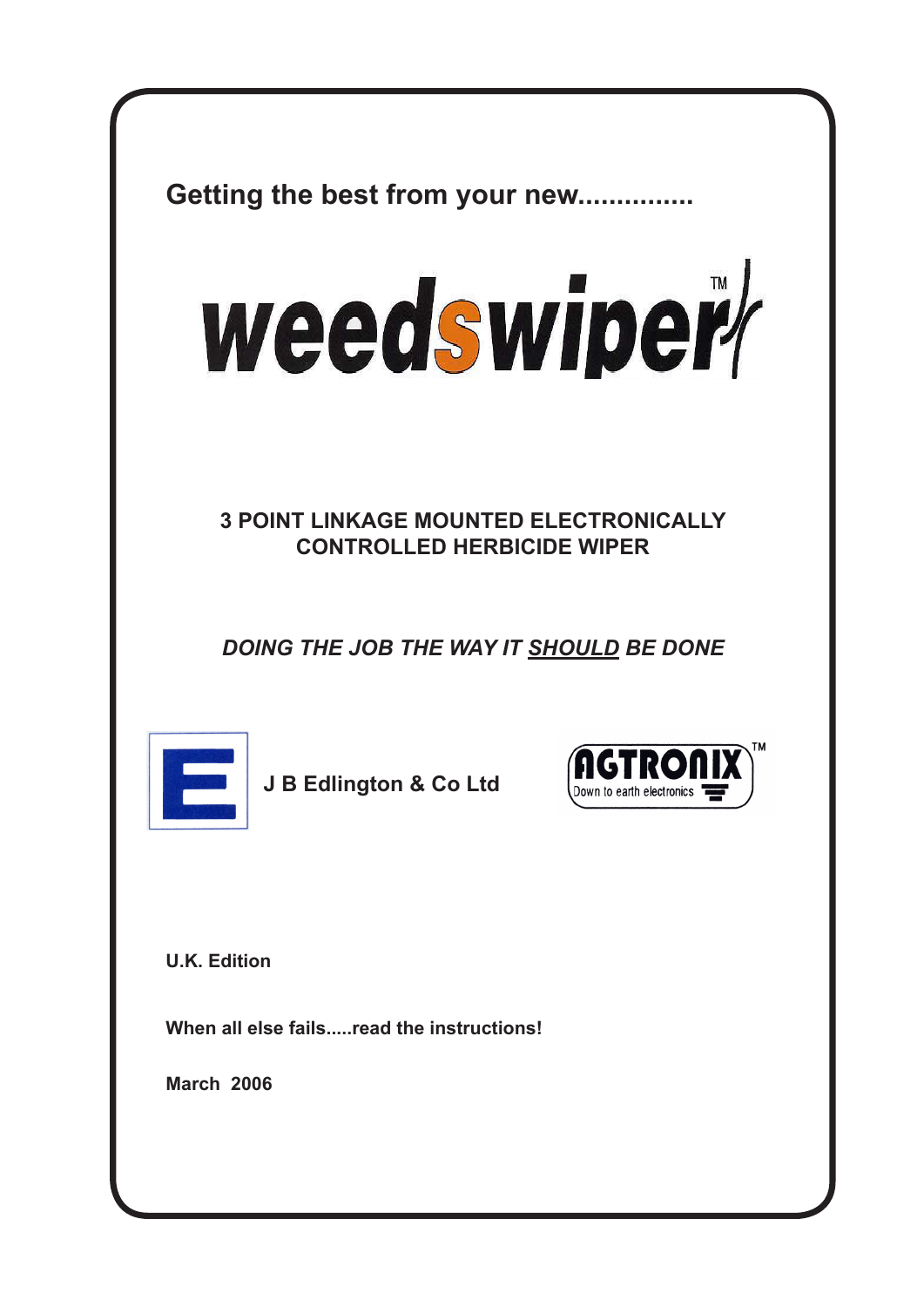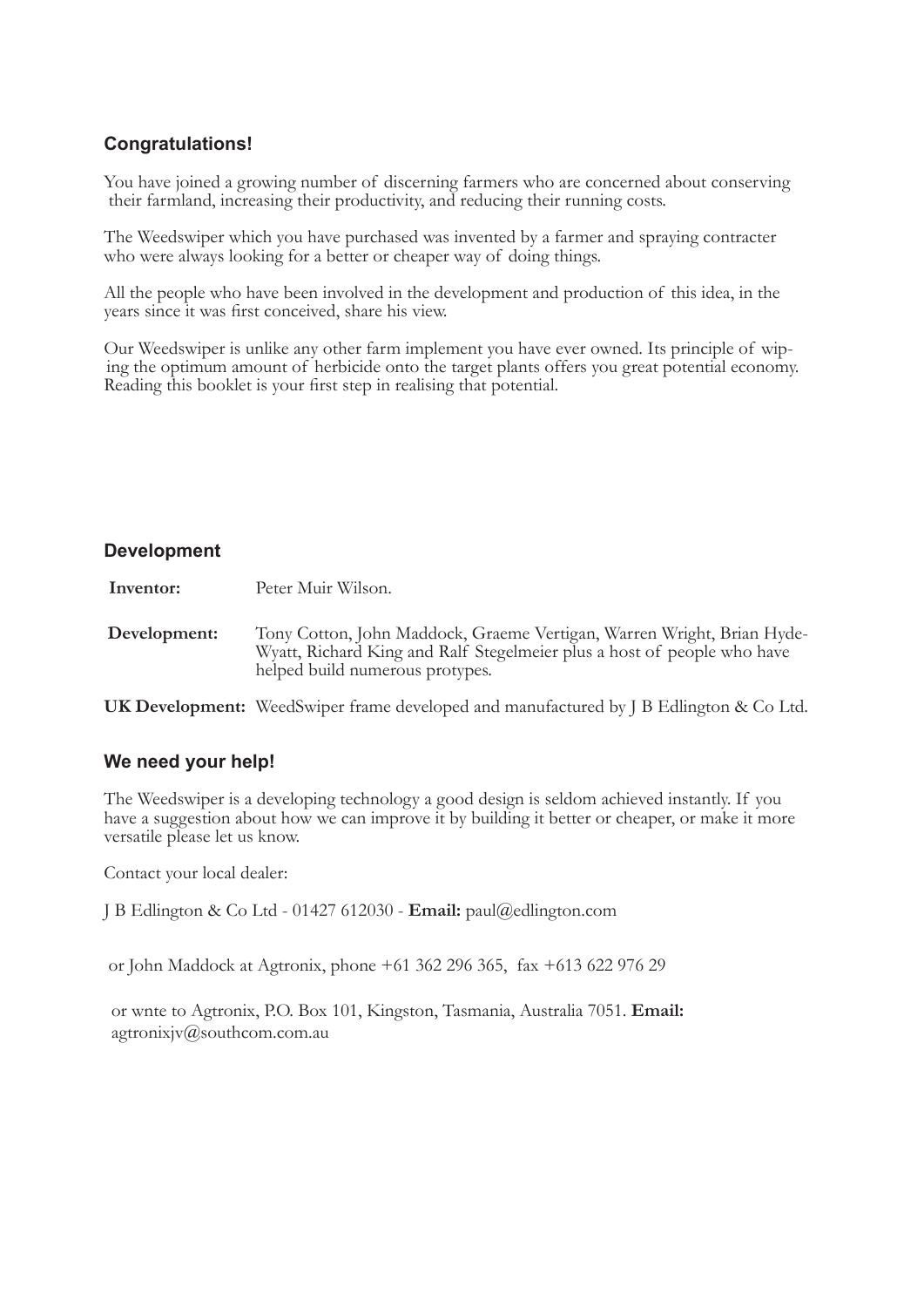#### **Congratulations!**

You have joined a growing number of discerning farmers who are concerned about conserving their farmland, increasing their productivity, and reducing their running costs.

The Weedswiper which you have purchased was invented by a farmer and spraying contracter who were always looking for a better or cheaper way of doing things.

All the people who have been involved in the development and production of this idea, in the years since it was first conceived, share his view.

Our Weedswiper is unlike any other farm implement you have ever owned. Its principle of wip ing the optimum amount of herbicide onto the target plants offers you great potential economy. Reading this booklet is your first step in realising that potential.

#### **Development**

**Inventor:** Peter Muir Wilson.

**Development:** Tony Cotton, John Maddock, Graeme Vertigan, Warren Wright, Brian Hyde-Wyatt, Richard King and Ralf Stegelmeier plus a host of people who have helped build numerous protypes.

**UK Development:** WeedSwiper frame developed and manufactured by J B Edlington & Co Ltd.

#### **We need your help!**

The Weedswiper is a developing technology a good design is seldom achieved instantly. If you have a suggestion about how we can improve it by building it better or cheaper, or make it more versatile please let us know.

Contact your local dealer:

J B Edlington & Co Ltd - 01427 612030 - **Email:** paul@edlington.com

or John Maddock at Agtronix, phone +61 362 296 365, fax +613 622 976 29

 or wnte to Agtronix, P.O. Box 101, Kingston, Tasmania, Australia 7051. **Email:**  agtronixjv@southcom.com.au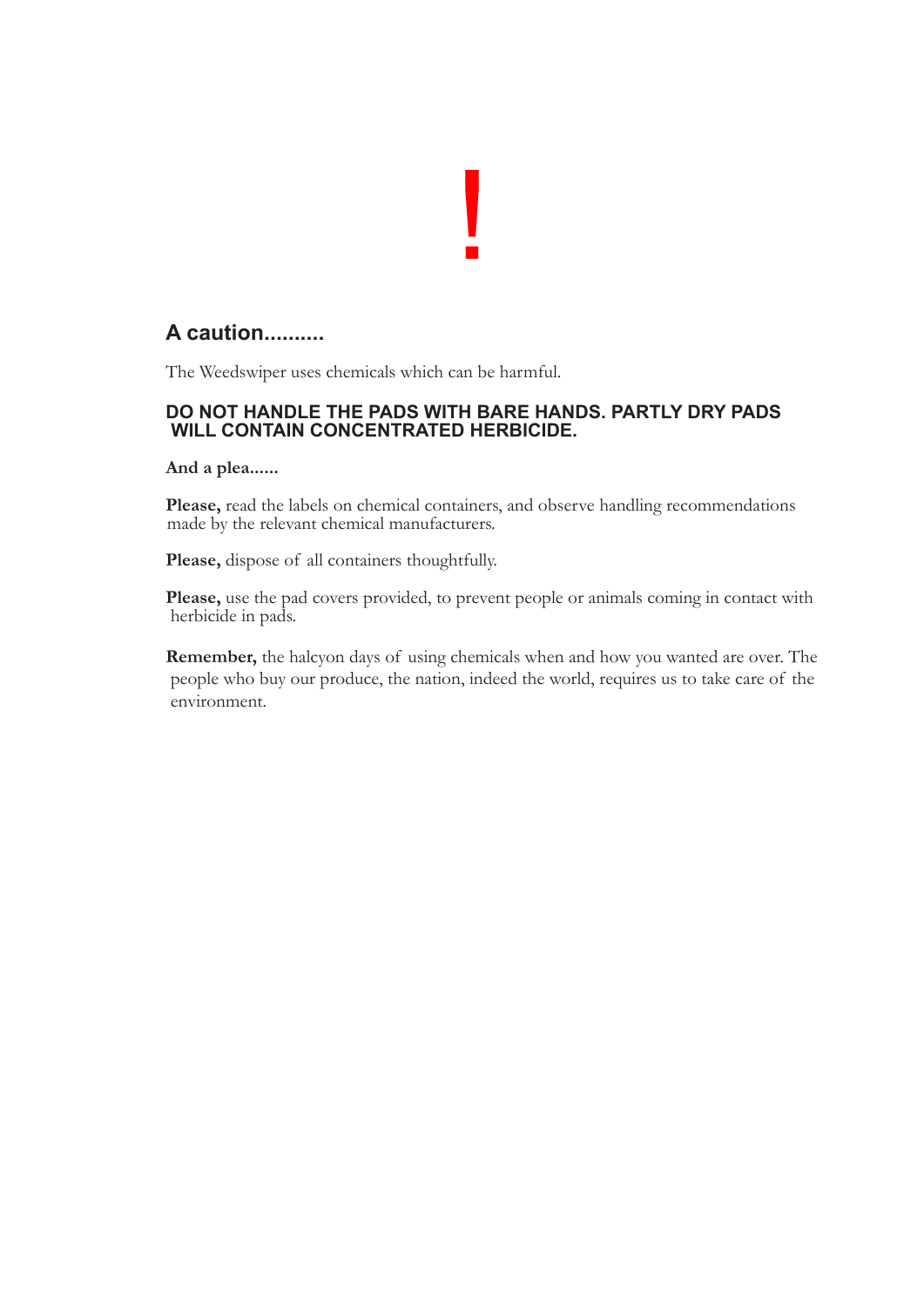# !

#### **A caution..........**

The Weedswiper uses chemicals which can be harmful.

### **DO NOT HANDLE THE PADS WITH BARE HANDS. PARTLY DRY PADS WILL CONTAIN CONCENTRATED HERBICIDE.**

 **And a plea......** 

**Please,** read the labels on chemical containers, and observe handling recommendations made by the relevant chemical manufacturers.

**Please,** dispose of all containers thoughtfully.

**Please,** use the pad covers provided, to prevent people or animals coming in contact with herbicide in pads.

**Remember,** the halcyon days of using chemicals when and how you wanted are over. The people who buy our produce, the nation, indeed the world, requires us to take care of the environment.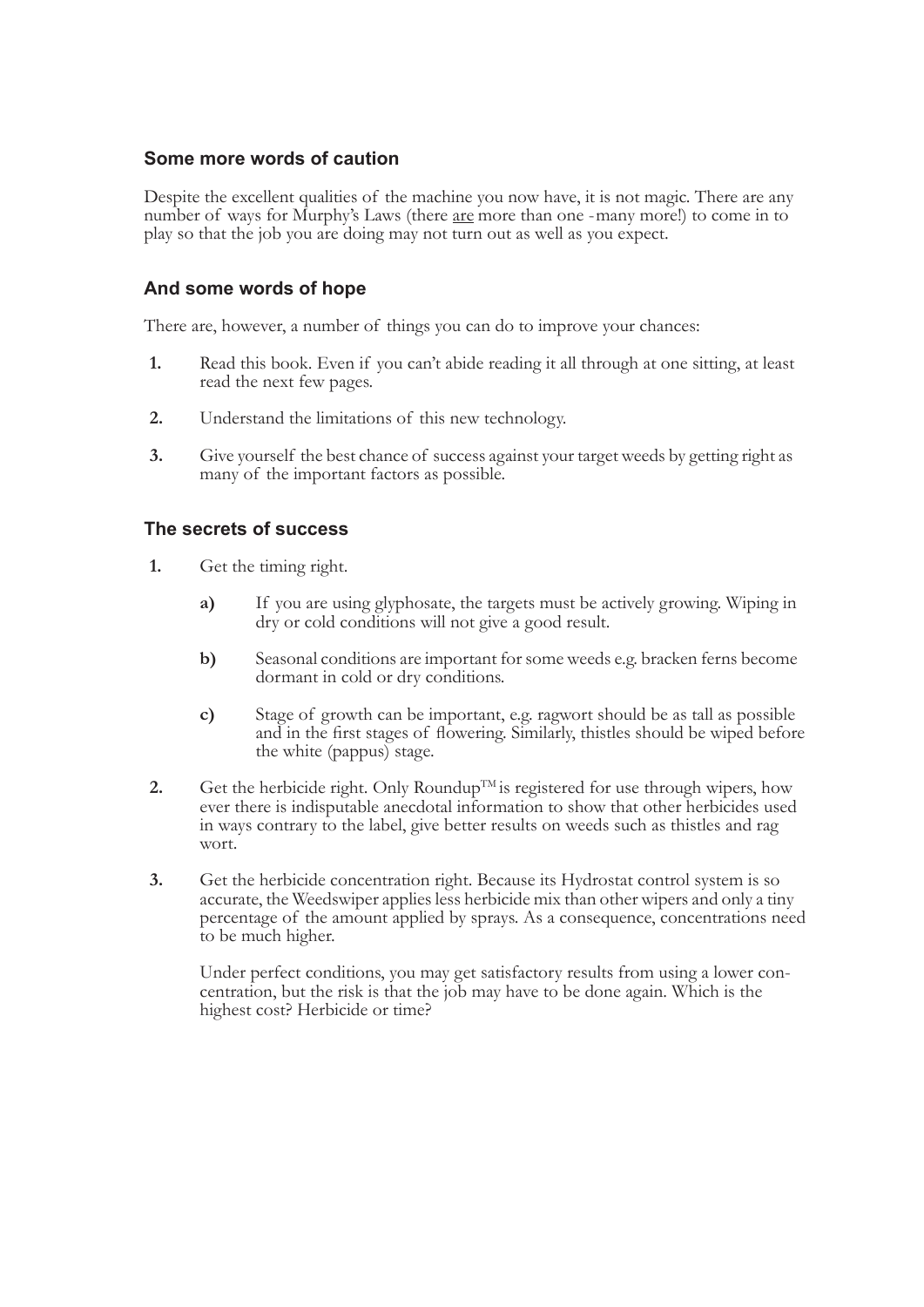#### **Some more words of caution**

Despite the excellent qualities of the machine you now have, it is not magic. There are any number of ways for Murphy's Laws (there <u>are</u> more than one -many more!) to come in to play so that the job you are doing may not

#### **And some words of hope**

There are, however, a number of things you can do to improve your chances:

- **1.** Read this book. Even if you can't abide reading it all through at one sitting, at least read the next few pages.
- **2.** Understand the limitations of this new technology.
- **3.** Give yourself the best chance of success against your target weeds by getting right as many of the important factors as possible.

#### **The secrets of success**

- **1.** Get the timing right.
	- **a)** If you are using glyphosate, the targets must be actively growing. Wiping in dry or cold conditions will not give a good result.
	- **b)** Seasonal conditions are important for some weeds e.g. bracken ferns become dormant in cold or dry conditions.
	- **c)** Stage of growth can be important, e.g. ragwort should be as tall as possible and in the first stages of flowering. Similarly, thistles should be wiped before the white (pappus) stage.
- 2. Get the herbicide right. Only Roundup<sup>TM</sup> is registered for use through wipers, how ever there is indisputable anecdotal information to show that other herbicides used in ways contrary to the label, give better results
- 3. Get the herbicide concentration right. Because its Hydrostat control system is so accurate, the Weedswiper applies less herbicide mix than other wipers and only a tiny percentage of the amount applied by sprays. As a co

Under perfect conditions, you may get satisfactory results from using a lower concentration, but the risk is that the job may have to be done again. Which is the highest cost? Herbicide or time?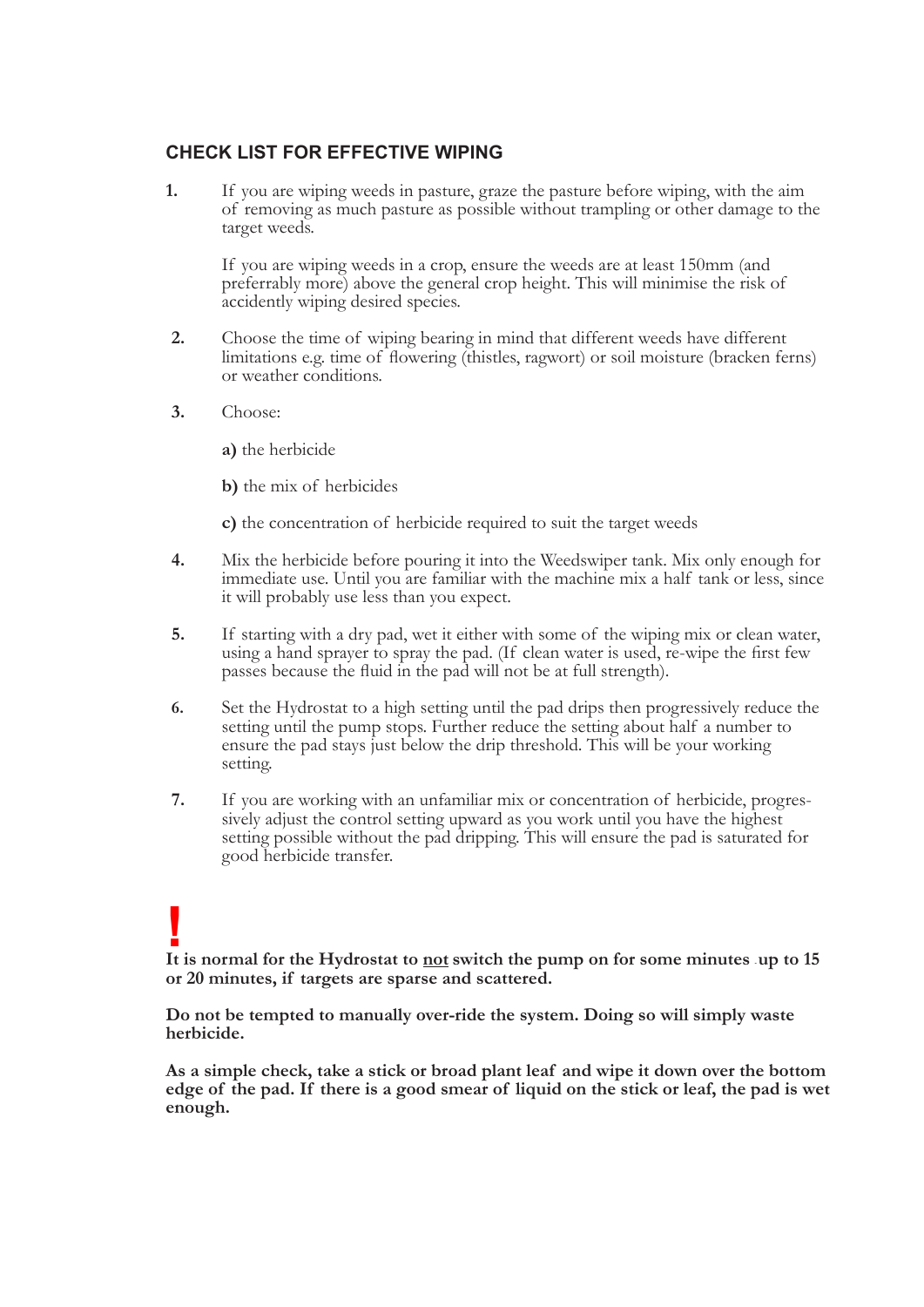#### **CHECK LIST FOR EFFECTIVE WIPING**

**1.** If you are wiping weeds in pasture, graze the pasture before wiping, with the aim of removing as much pasture as possible without trampling or other damage to the target weeds.

If you are wiping weeds in a crop, ensure the weeds are at least 150mm (and preferrably more) above the general crop height. This will minimise the risk of accidently wiping desired species.

- **2.** Choose the time of wiping bearing in mind that different weeds have different limitations e.g. time of flowering (thistles, ragwort) or soil moisture (bracken ferns) or weather conditions.
- **3.** Choose:
	- **a)** the herbicide
	- **b)** the mix of herbicides
	- **c)** the concentration of herbicide required to suit the target weeds
- **4.** Mix the herbicide before pouring it into the Weedswiper tank. Mix only enough for immediate use. Until you are familiar with the machine mix a half tank or less, since it will probably use less than you expect.
- **5.** If starting with a dry pad, wet it either with some of the wiping mix or clean water, using a hand sprayer to spray the pad. (If clean water is used, re-wipe the first few passes because the fluid in the pad will not be at full strength).
- 6. Set the Hydrostat to a high setting until the pad drips then progressively reduce the setting until the pump stops. Further reduce the setting about half a number to ensure the pad stays just below the drip threshold. T
- 7. If you are working with an unfamiliar mix or concentration of herbicide, progressively adjust the control setting upward as you work until you have the highest setting possible without the pad dripping. This will ensure

### **! It is normal for the Hydrostat to not switch the pump on for some minutes - up to 15 or 20 minutes, if targets are sparse and scattered.**

 **Do not be tempted to manually over-ride the system. Doing so will simply waste herbicide.** 

 **As a simple check, take a stick or broad plant leaf and wipe it down over the bottom edge of the pad. If there is a good smear of liquid on the stick or leaf, the pad is wet enough.**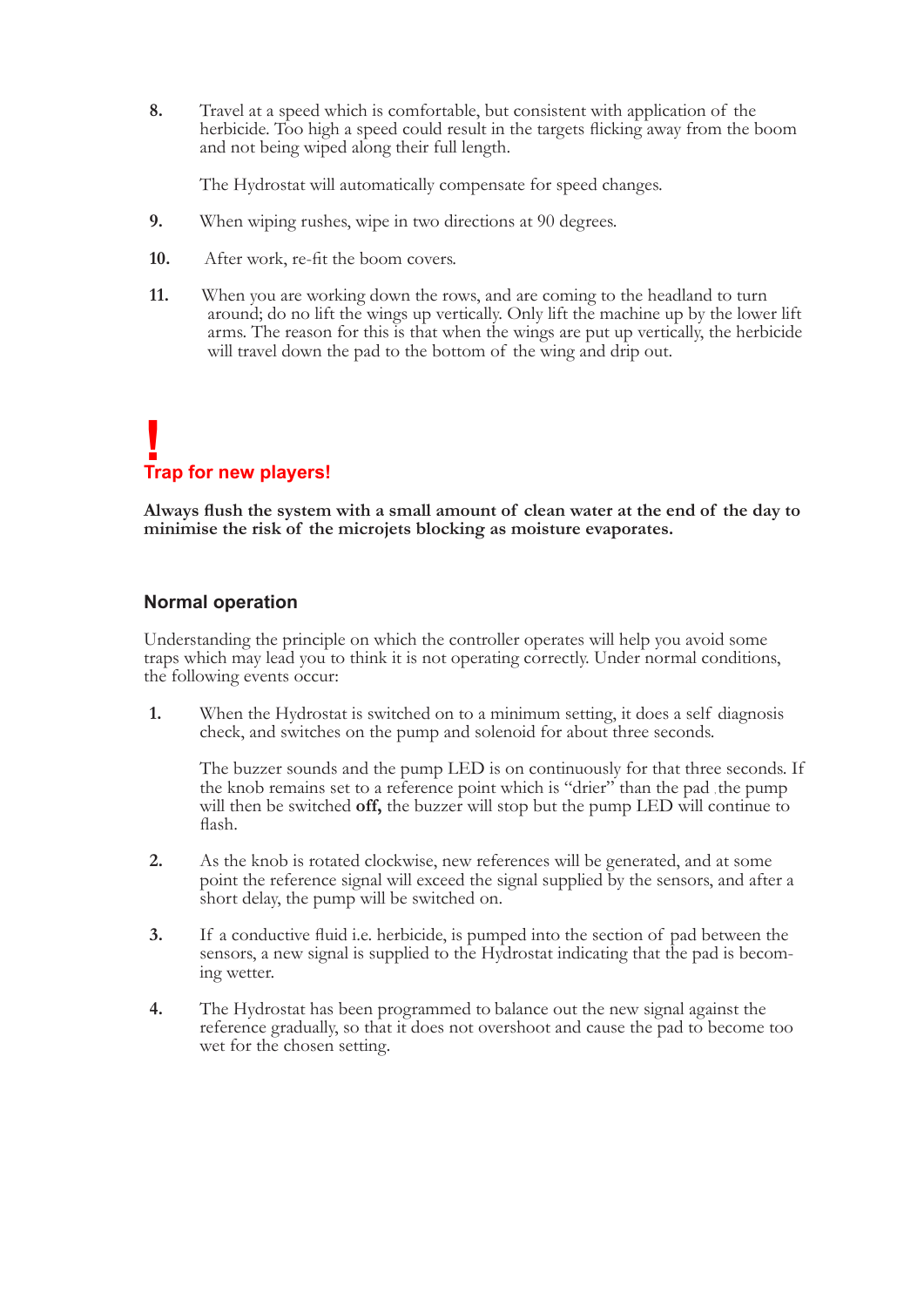**8.** Travel at a speed which is comfortable, but consistent with application of the herbicide. Too high <sup>a</sup> speed could result in the targets flicking away from the boom and not being wiped along their full length.

The Hydrostat will automatically compensate for speed changes.

- **9.** When wiping rushes, wipe in two directions at 90 degrees.
- **10.** After work, re-fit the boom covers.
- **11.** When you are working down the rows, and are coming to the headland to turn around; do no lift the wings up vertically. Only lift the machine up by the lower lift arms. The reason for this is that when the wings are put up vertically, the herbicide will travel down the pad to the bottom of the wing and drip out.

# **! Trap for new players!**

**Always flush the system with a small amount of clean water at the end of the day to minimise the risk of the microjets blocking as moisture evaporates.**

#### **Normal operation**

Understanding the principle on which the controller operates will help you avoid some traps which may lead you to think it is not operating correctly. Under normal conditions, the following events occur:

**1.** When the Hydrostat is switched on to a minimum setting, it does a self diagnosis check, and switches on the pump and solenoid for about three seconds.

The buzzer sounds and the pump LED is on continuously for that three seconds. If the knob remains set to a reference point which is "drier" than the pad the pump will then be switched **off**, the buzzer will stop but the pu flash.

- **2.** As the knob is rotated clockwise, new references will be generated, and at some point the reference signal will exceed the signal supplied by the sensors, and after a short delay, the pump will be switched on.
- **3.** If <sup>a</sup> conductive fluid i.e. herbicide, is pumped into the section of pad between the sensors, a new signal is supplied to the Hydrostat indicating that the pad is becom- ing wetter.
- **4.** The Hydrostat has been programmed to balance out the new signal against the reference gradually, so that it does not overshoot and cause the pad to become too wet for the chosen setting.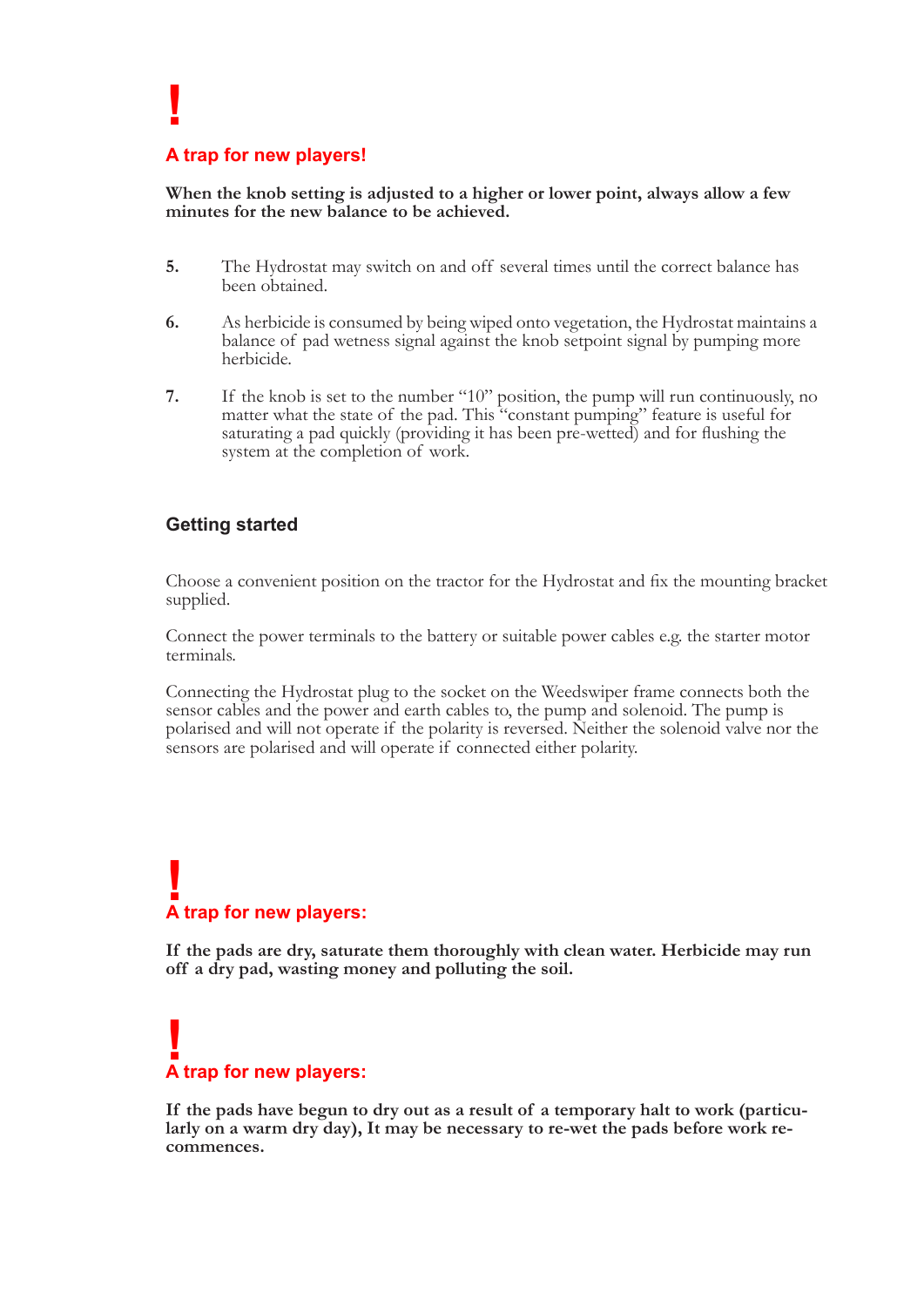#### **A trap for new players!**

 **!**

**When the knob setting is adjusted to a higher or lower point, always allow a few minutes for the new balance to be achieved.**

- **5.** The Hydrostat may switch on and off several times until the correct balance has been obtained.
- **6.** As herbicide is consumed by being wiped onto vegetation, the Hydrostat maintains a balance of pad wetness signal against the knob setpoint signal by pumping more herbicide.
- **7.** If the knob is set to the number "10" position, the pump will run continuously, no matter what the state of the pad. This "constant pumping" feature is useful for saturating <sup>a</sup> pad quickly (providing it has been pre-wetted) and for flushing the system at the completion of work.

#### **Getting started**

 Choose <sup>a</sup> convenient position on the tractor for the Hydrostat and fix the mounting bracket supplied.

Connect the power terminals to the battery or suitable power cables e.g. the starter motor terminals.

Connecting the Hydrostat plug to the socket on the Weedswiper frame connects both the sensor cables and the power and earth cables to, the pump and solenoid. The pump is polarised and will not operate if the polarity is re

## **k**<br> **A** trap for new players:

**If the pads are dry, saturate them thoroughly with clean water. Herbicide may run off a dry pad, wasting money and polluting the soil.**

## **! A trap for new players:**

**If the pads have begun to dry out as a result of a temporary halt to work (particu- larly on a warm dry day), It may be necessary to re-wet the pads before work re- commences.**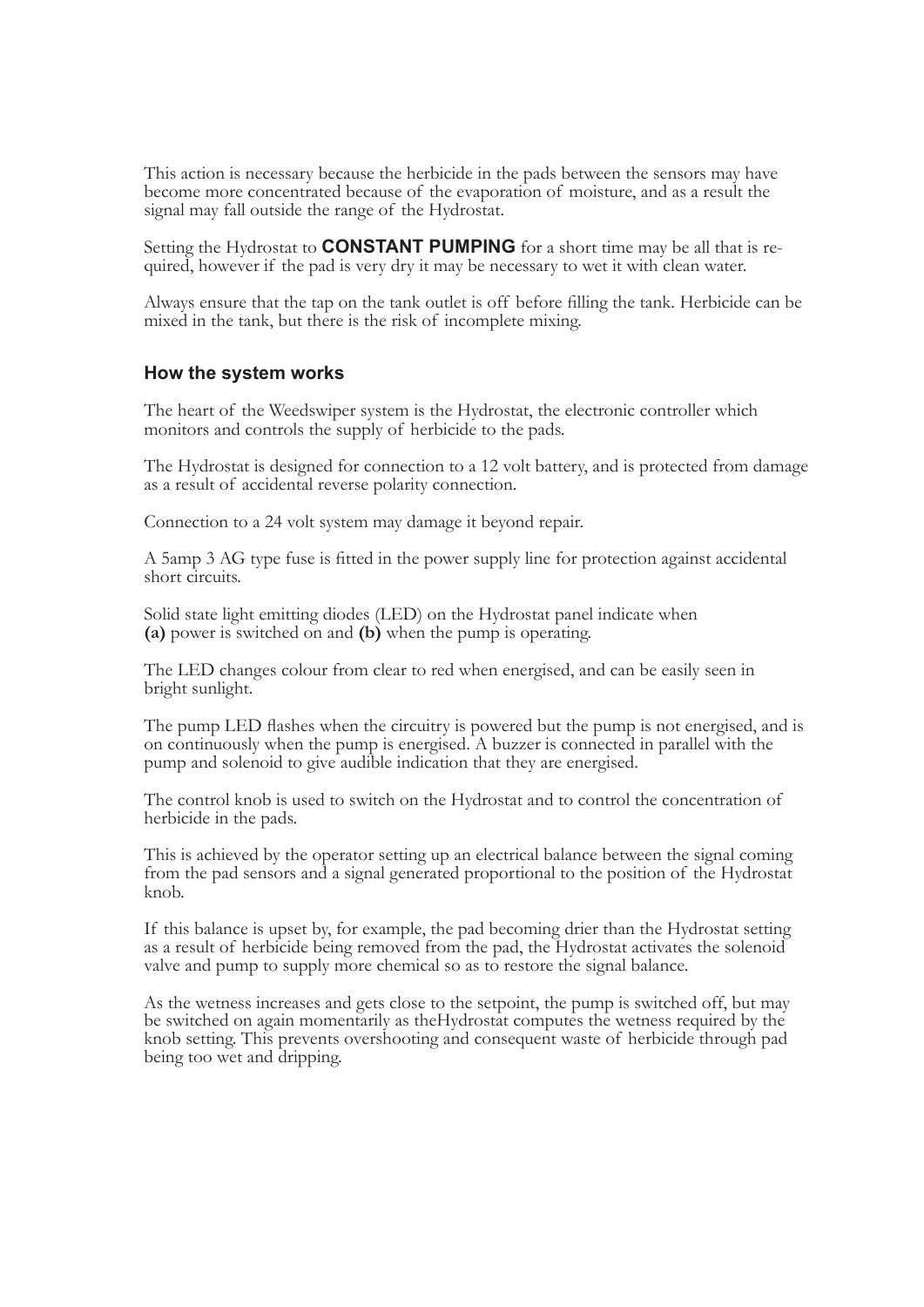This action is necessary because the herbicide in the pads between the sensors may have become more concentrated because of the evaporation of moisture, and as a result the signal may fall outside the range of the Hydrostat.

Setting the Hydrostat to **CONSTANT PUMPING** for a short time may be all that is required, however if the pad is very dry it may be necessary to wet it with clean water.

 Always ensure that the tap on the tank outlet is off before filling the tank. Herbicide can be mixed in the tank, but there is the risk of incomplete mixing.

#### **How the system works**

The heart of the Weedswiper system is the Hydrostat, the electronic controller which monitors and controls the supply of herbicide to the pads.

The Hydrostat is designed for connection to a 12 volt battery, and is protected from damage as a result of accidental reverse polarity connection.

Connection to a 24 volt system may damage it beyond repair.

<sup>A</sup> 5amp <sup>3</sup> AG type fuse is fitted in the power supply line for protection against accidental short circuits.

 Solid state light emitting diodes (LED) on the Hydrostat panel indicate when **(a)** power is switched on and **(b)** when the pump is operating.

The LED changes colour from clear to red when energised, and can be easily seen in bright sunlight.

The pump LED flashes when the circuitry is powered but the pump is not energised, and is<br>on continuously when the pump is energised. A buzzer is connected in parallel with the<br>pump and solenoid to give audible indication t

The control knob is used to switch on the Hydrostat and to control the concentration of herbicide in the pads.

This is achieved by the operator setting up an electrical balance between the signal coming from the pad sensors and a signal generated proportional to the position of the Hydrostat knob.

If this balance is upset by, for example, the pad becoming drier than the Hydrostat setting<br>as a result of herbicide being removed from the pad, the Hydrostat activates the solenoid<br>valve and pump to supply more chemical s

As the wetness increases and gets close to the setpoint, the pump is switched off, but may be switched on again momentarily as the Hydrostat computes the wetness required by the knob setting. This prevents overshooting and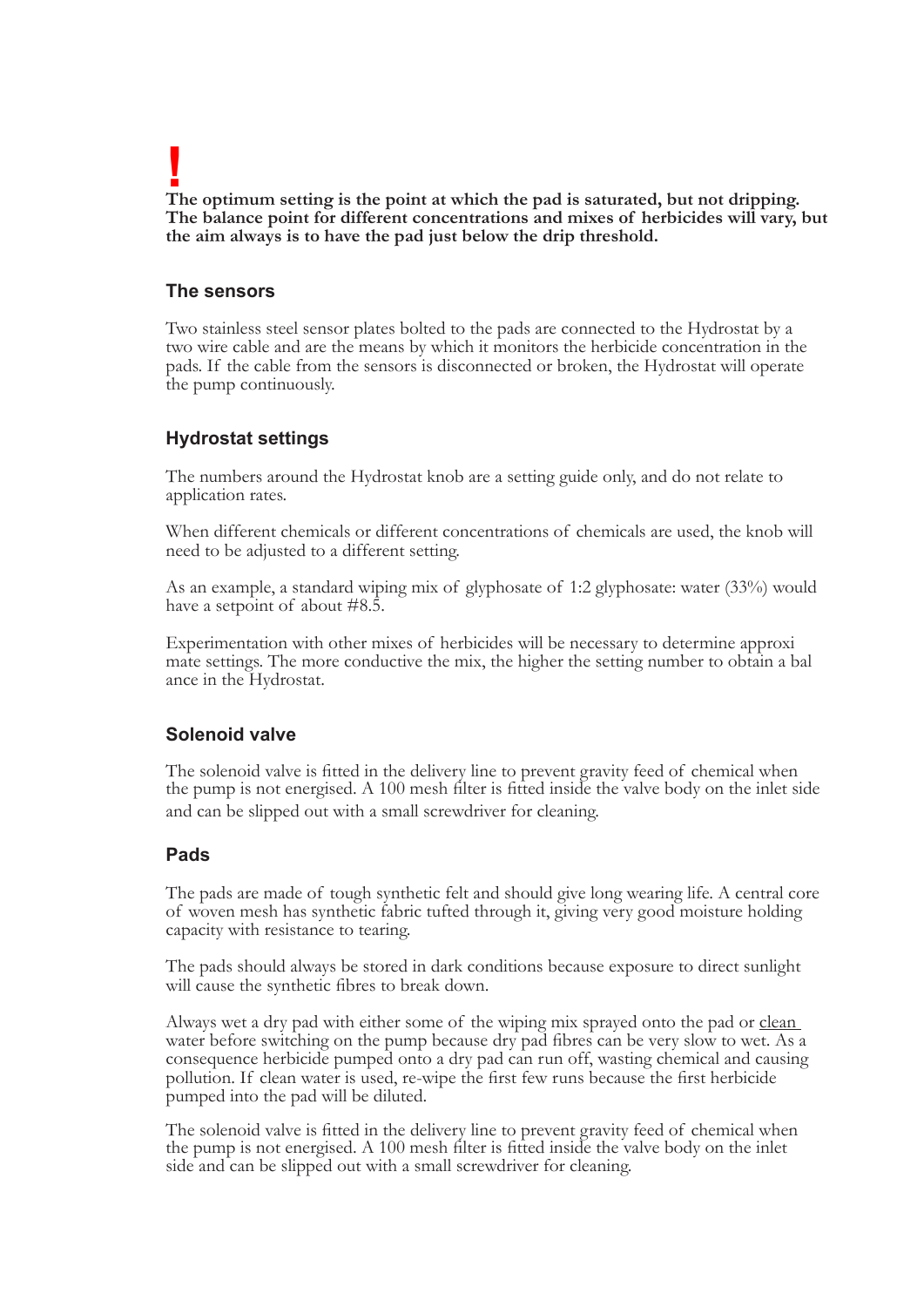**!** The optimum setting is the point at which the pad is saturated, but not dripping.<br>The balance point for different concentrations and mixes of herbicides will vary, but<br>the aim always is to have the pad just below the drip

#### **The sensors**

Two stainless steel sensor plates bolted to the pads are connected to the Hydrostat by a two wire cable and are the means by which it monitors the herbicide concentration in the pads. If the cable from the sensors is disco

#### **Hydrostat settings**

The numbers around the Hydrostat knob are a setting guide only, and do not relate to application rates.

When different chemicals or different concentrations of chemicals are used, the knob will need to be adjusted to a different setting.

As an example, a standard wiping mix of glyphosate of 1:2 glyphosate: water (33%) would have a setpoint of about #8.5.

Experimentation with other mixes of herbicides will be necessary to determine approxi mate settings. The more conductive the mix, the higher the setting number to obtain a bal ance in the Hydrostat.

#### **Solenoid valve**

 The solenoid valve is fitted in the delivery line to prevent gravity feed of chemical when the pump is not energised. A 100 mesh filter is fitted inside the valve body on the inlet side and can be slipped out with a small screwdriver for cleaning.

#### **Pads**

The pads are made of tough synthetic felt and should give long wearing life. A central core of woven mesh has synthetic fabric tufted through it, giving very good moisture holding capacity with resistance to tearing.

 The pads should always be stored in dark conditions because exposure to direct sunlight will cause the synthetic fibres to break down.

Always wet a dry pad with either some of the wiping mix sprayed onto the pad or clean water before switching on the pump because dry pad fibres can be very slow to wet. As <sup>a</sup> consequence herbicide pumped onto a dry pad can run off, wasting chemical and causing pollution. If clean water is used, re-wipe the first few runs because the first herbicide pumped into the pad will be diluted.

 The solenoid valve is fitted in the delivery line to prevent gravity feed of chemical when the pump is not energised. A 100 mesh filter is fitted inside the valve body on the inlet side and can be slipped out with a small screwdriver for cleaning.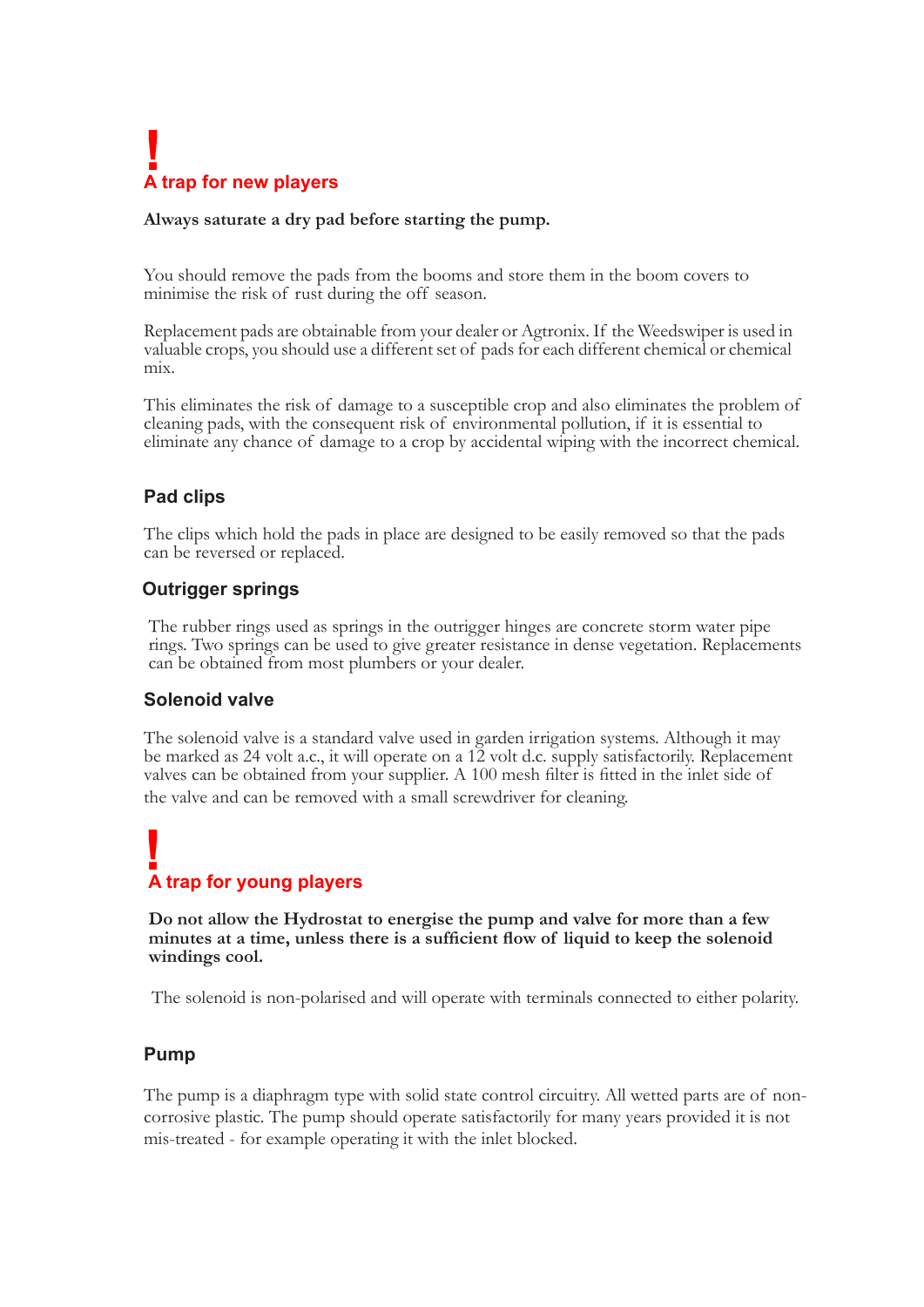# **! A trap for new players**

#### **Always saturate a dry pad before starting the pump.**

You should remove the pads from the booms and store them in the boom covers to minimise the risk of rust during the off season.

Replacement pads are obtainable from your dealer or Agtronix. If the Weedswiper is used in valuable crops, you should use a different set of pads for each different chemical or chemical mix.

This eliminates the risk of damage to a susceptible crop and also eliminates the problem of cleaning pads, with the consequent risk of environmental pollution, if it is essential to eliminate any chance of damage to a crop

#### **Pad clips**

The clips which hold the pads in place are designed to be easily removed so that the pads can be reversed or replaced.

#### **Outrigger springs**

 The rubber rings used as springs in the outrigger hinges are concrete storm water pipe rings. Two springs can be used to give greater resistance in dense vegetation. Replacements can be obtained from most plumbers or your dealer.

#### **Solenoid valve**

The solenoid valve is a standard valve used in garden irrigation systems. Although it may be marked as 24 volt a.c., it will operate on a 12 volt d.c. supply satisfactorily. Replacement valves can be obtained from your supplier. A 100 mesh filter is fitted in the inlet side of the valve and can be removed with a small screwdriver for cleaning.

### **! A trap for young players**

 **Do not allow the Hydrostat to energise the pump and valve for more than a few minutes at a time, unless there is a sufficient flow of liquid to keep the solenoid windings cool.**

The solenoid is non-polarised and will operate with terminals connected to either polarity.

#### **Pump**

The pump is a diaphragm type with solid state control circuitry. All wetted parts are of noncorrosive plastic. The pump should operate satisfactorily for many years provided it is not mis-treated - for example operating it with the inlet blocked.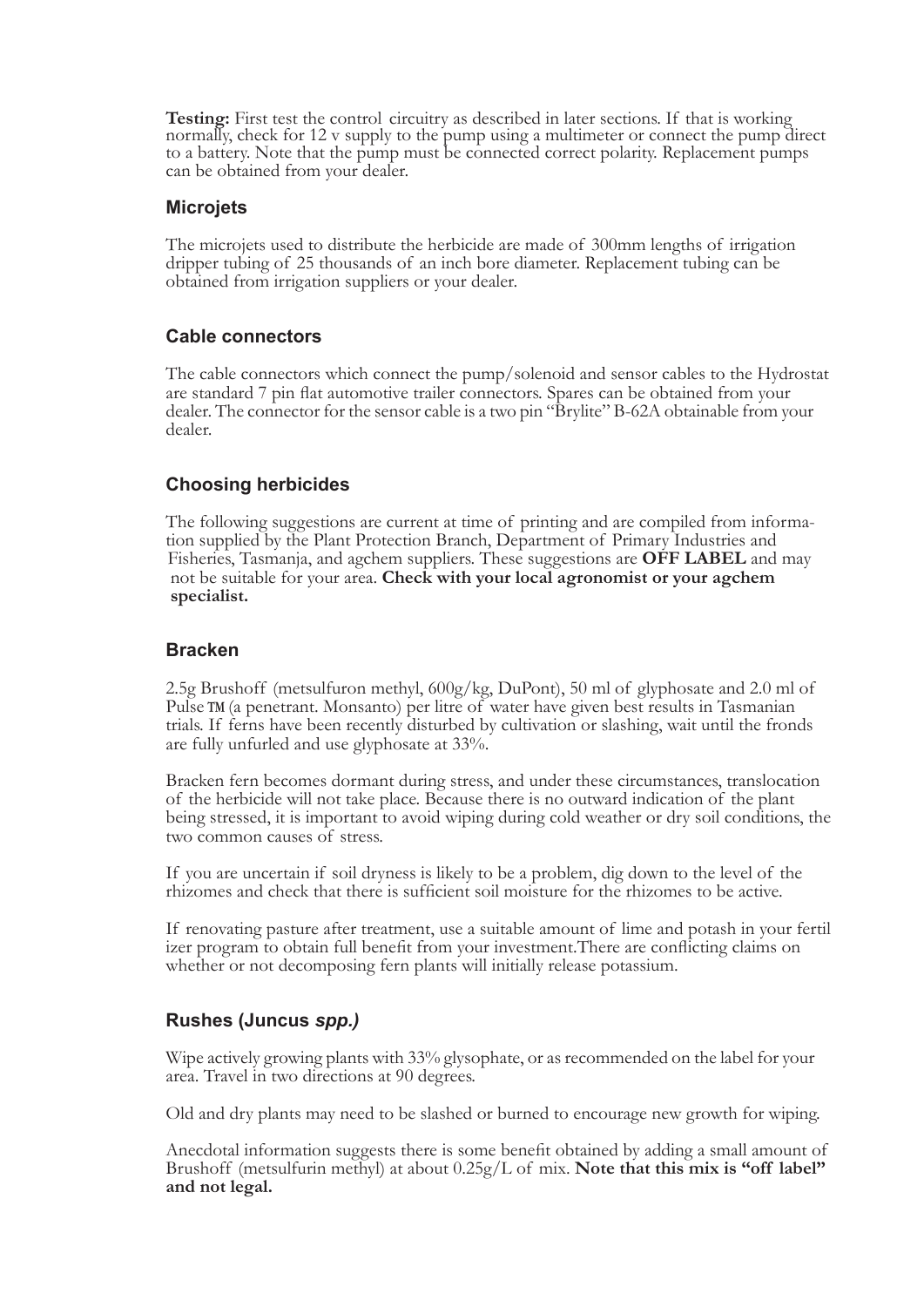**Testing:** First test the control circuitry as described in later sections. If that is working normally, check for 12 v supply to the pump using a multimeter or connect the pump direct to a battery. Note that the pump must be connected correct polarity. Replacement pumps can be obtained from your dealer.

#### **Microjets**

The microjets used to distribute the herbicide are made of 300mm lengths of irrigation dripper tubing of 25 thousands of an inch bore diameter. Replacement tubing can be obtained from irrigation suppliers or your dealer.

#### **Cable connectors**

The cable connectors which connect the pump/solenoid and sensor cables to the Hydrostat are standard 7 pin flat automotive trailer connectors. Spares can be obtained from your dealer. The connector for the sensor cable is a two pin "Brylite" B-62A obtainable from your dealer.

#### **Choosing herbicides**

 The following suggestions are current at time of printing and are compiled from informa- tion supplied by the Plant Protection Branch, Department of Primary Industries and Fisheries, Tasmanja, and agchem suppliers. These suggestions are **OFF LABEL** and may not be suitable for your area. **Check with your local agronomist or your agchem specialist.**

#### **Bracken**

2.5g Brushoff (metsulfuron methyl,  $600g/kg$ , DuPont), 50 ml of glyphosate and 2.0 ml of Pulse TM (a penetrant. Monsanto) per litre of water have given best results in Tasmanian trials. If ferns have been recently disturbed

Bracken fern becomes dormant during stress, and under these circumstances, translocation<br>of the herbicide will not take place. Because there is no outward indication of the plant<br>being stressed, it is important to avoid wi

 If you are uncertain if soil dryness is likely to be a problem, dig down to the level of the rhizomes and check that there is sufficient soil moisture for the rhizomes to be active.

 If renovating pasture after treatment, use a suitable amount of lime and potash in your fertil izer program to obtain full benefit from your investment.There are conflicting claims on whether or not decomposing fern plants will initially release potassium.

#### **Rushes (Juncus** *spp.)*

Wipe actively growing plants with 33% glysophate, or as recommended on the label for your area. Travel in two directions at 90 degrees.

Old and dry plants may need to be slashed or burned to encourage new growth for wiping.

 Anecdotal information suggests there is some benefit obtained by adding <sup>a</sup> small amount of Brushoff (metsulfurin methyl) at about 0.25g/L of mix. **Note that this mix is "off label" and not legal.**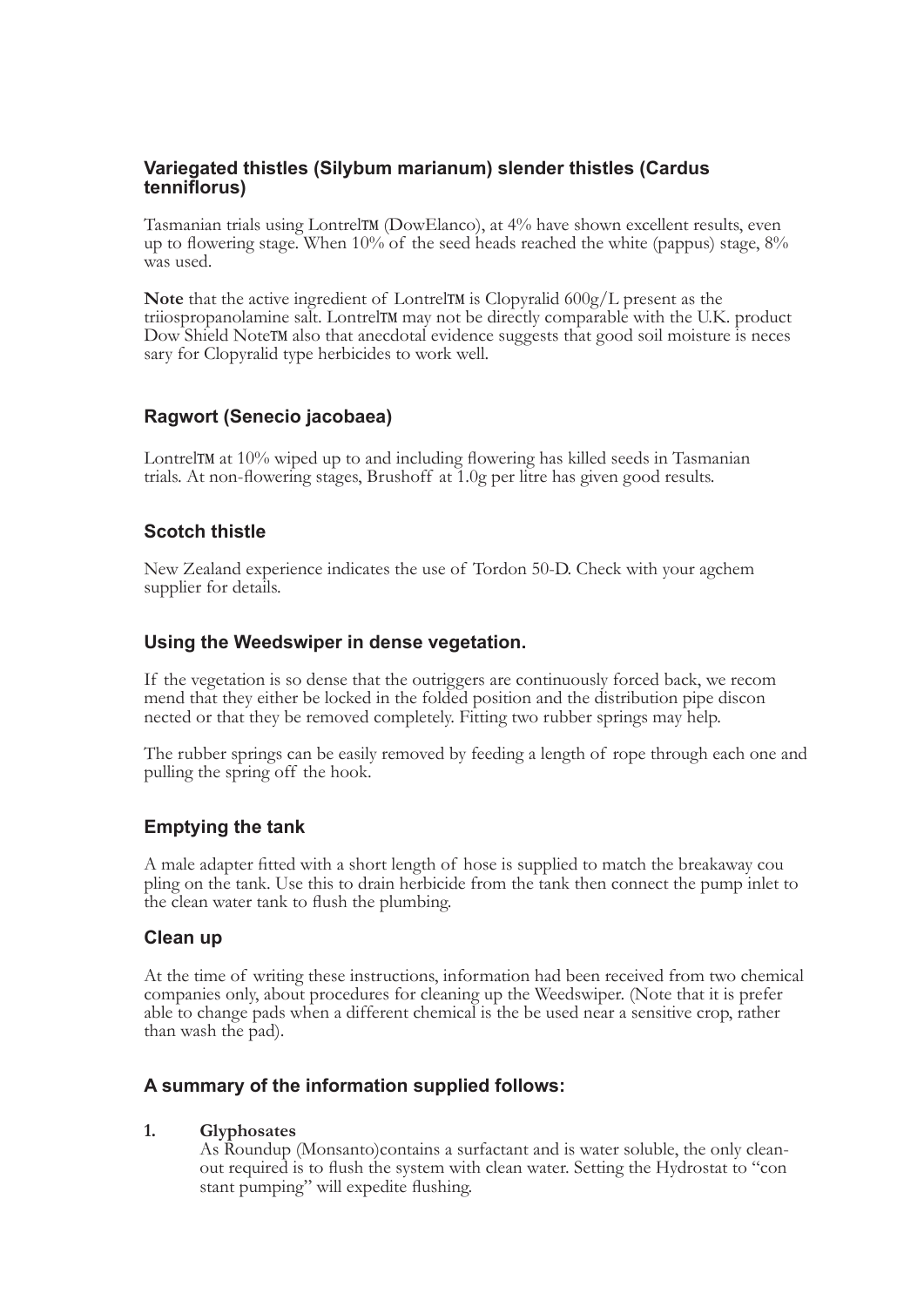### **Variegated thistles (Silybum marianum) slender thistles (Cardus tenniflorus)**

Tasmanian trials using Lontrel**TM** (DowElanco), at 4% have shown excellent results, even up to flowering stage. When  $10\%$  of the seed heads reached the white (pappus) stage,  $8\%$  was used.

Note that the active ingredient of LontrelTM is Clopyralid 600g/L present as the triiospropanolamine salt. LontrelTM may not be directly comparable with the U.K. product Dow Shield NoteTM also that anecdotal evidence sugge

#### **Ragwort (Senecio jacobaea)**

LontrelTM at 10% wiped up to and including flowering has killed seeds in Tasmanian trials. At non-flowering stages, Brushoff at 1.0g per litre has given good results.

#### **Scotch thistle**

New Zealand experience indicates the use of Tordon 50-D. Check with your agchem supplier for details.

#### **Using the Weedswiper in dense vegetation.**

If the vegetation is so dense that the outriggers are continuously forced back, we recom<br>mend that they either be locked in the folded position and the distribution pipe discon<br>nected or that they be removed completely. Fi

The rubber springs can be easily removed by feeding a length of rope through each one and pulling the spring off the hook.

#### **Emptying the tank**

A male adapter fitted with a short length of hose is supplied to match the breakaway cou pling on the tank. Use this to drain herbicide from the tank then connect the pump inlet to the clean water tank to flush the plumbing.

#### **Clean up**

At the time of writing these instructions, information had been received from two chemical companies only, about procedures for cleaning up the Weedswiper. (Note that it is prefer able to change pads when a different chemi

#### **A summary of the information supplied follows:**

 **1. Glyphosates** As Roundup (Monsanto)contains a surfactant and is water soluble, the only clean- out required is to flush the system with clean water. Setting the Hydrostat to "con stant pumping" will expedite flushing.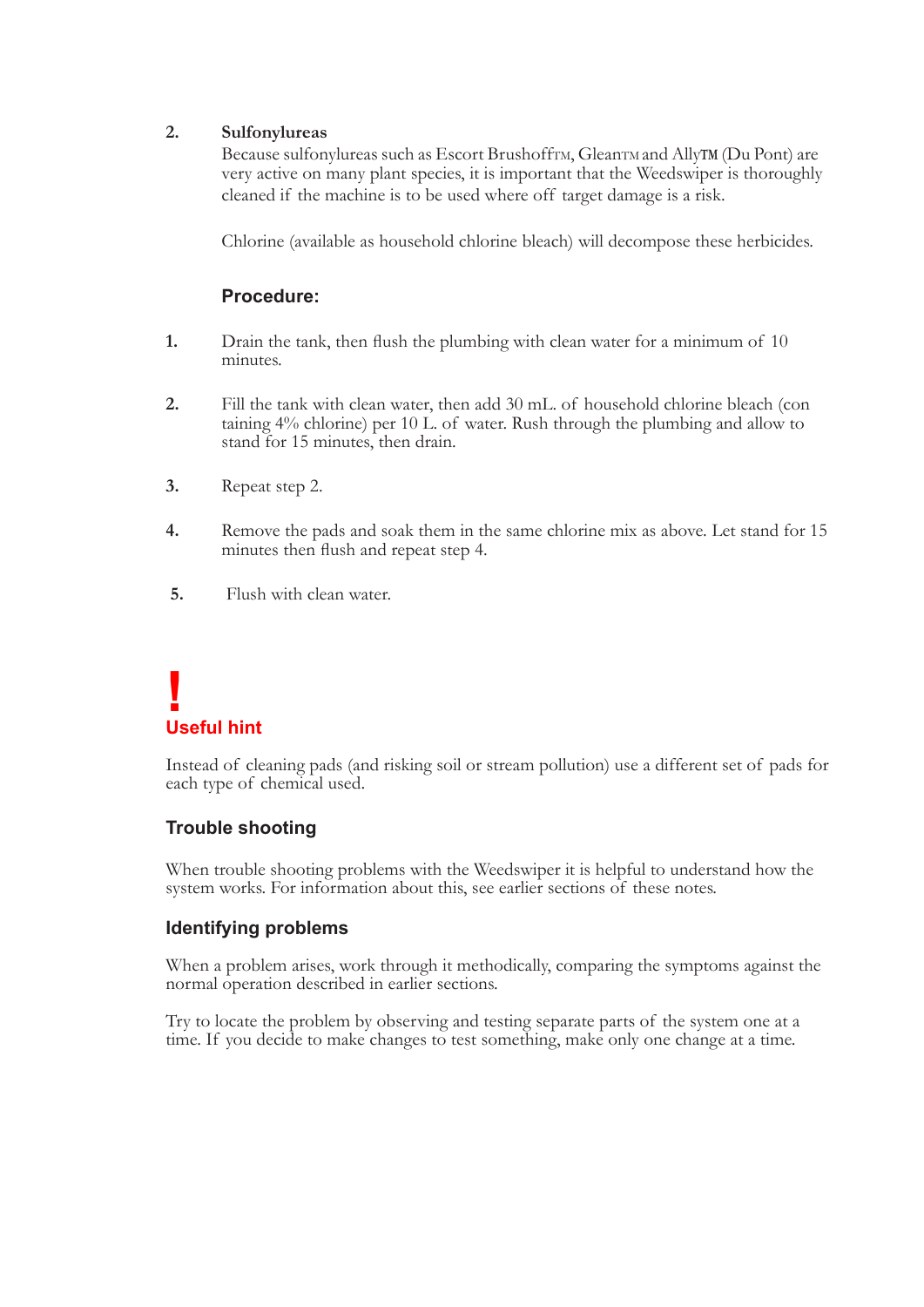#### **2. Sulfonylureas**

Because sulfonylureas such as Escort BrushoffTM, GleanTM and AllyTM (Du Pont) are very active on many plant species, it is important that the Weedswiper is thoroughly cleaned if the machine is to be used where off target damage is a risk.

Chlorine (available as household chlorine bleach) will decompose these herbicides.

#### **Procedure:**

- **1.** Drain the tank, then flush the plumbing with clean water for a minimum of 10 minutes.
- **2.** Fill the tank with clean water, then add 30 mL. of household chlorine bleach (con taining 4% chlorine) per 10 L. of water. Rush through the plumbing and allow to stand for 15 minutes, then drain.
- **3.** Repeat step 2.
- **4.** Remove the pads and soak them in the same chlorine mix as above. Let stand for 15 minutes then flush and repeat step 4.
- **5.** Flush with clean water.

### **! Useful hint**

Instead of cleaning pads (and risking soil or stream pollution) use a different set of pads for each type of chemical used.

#### **Trouble shooting**

When trouble shooting problems with the Weedswiper it is helpful to understand how the system works. For information about this, see earlier sections of these notes.

#### **Identifying problems**

When a problem arises, work through it methodically, comparing the symptoms against the normal operation described in earlier sections.

Try to locate the problem by observing and testing separate parts of the system one at a time. If you decide to make changes to test something, make only one change at a time.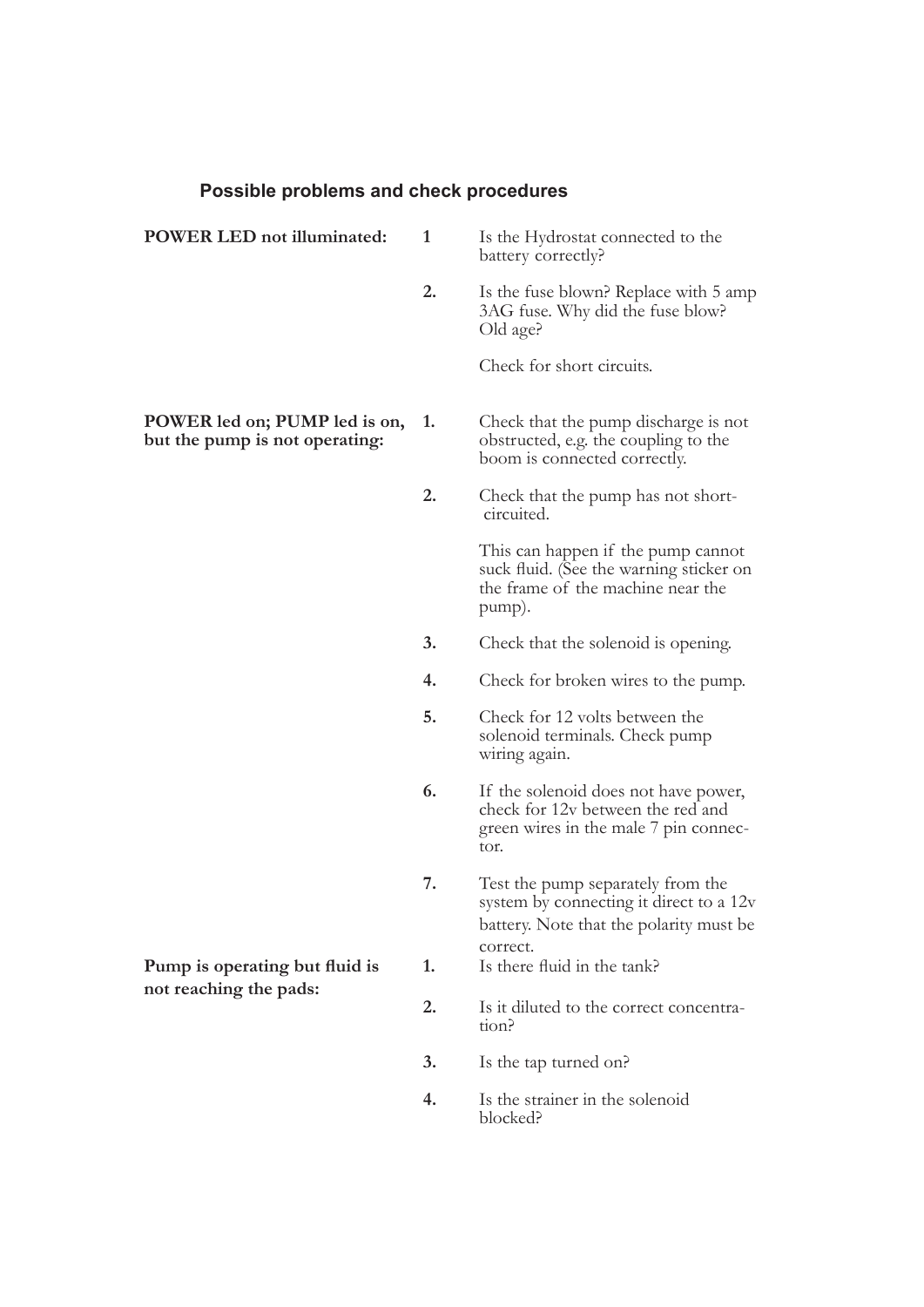#### **Possible problems and check procedures**

| <b>POWER LED</b> not illuminated:                               | 1  | Is the Hydrostat connected to the<br>battery correctly?                                                                             |
|-----------------------------------------------------------------|----|-------------------------------------------------------------------------------------------------------------------------------------|
|                                                                 | 2. | Is the fuse blown? Replace with 5 amp<br>3AG fuse. Why did the fuse blow?<br>Old age?                                               |
|                                                                 |    | Check for short circuits.                                                                                                           |
| POWER led on; PUMP led is on,<br>but the pump is not operating: | 1. | Check that the pump discharge is not<br>obstructed, e.g. the coupling to the<br>boom is connected correctly.                        |
|                                                                 | 2. | Check that the pump has not short-<br>circuited.                                                                                    |
|                                                                 |    | This can happen if the pump cannot<br>suck fluid. (See the warning sticker on<br>the frame of the machine near the<br>pump).        |
|                                                                 | 3. | Check that the solenoid is opening.                                                                                                 |
|                                                                 | 4. | Check for broken wires to the pump.                                                                                                 |
|                                                                 | 5. | Check for 12 volts between the<br>solenoid terminals. Check pump<br>wiring again.                                                   |
|                                                                 | 6. | If the solenoid does not have power,<br>check for 12v between the red and<br>green wires in the male 7 pin connec-<br>tor.          |
| Pump is operating but fluid is<br>not reaching the pads:        | 7. | Test the pump separately from the<br>system by connecting it direct to a 12v<br>battery. Note that the polarity must be<br>correct. |
|                                                                 | 1. | Is there fluid in the tank?                                                                                                         |
|                                                                 | 2. | Is it diluted to the correct concentra-<br>tion?                                                                                    |
|                                                                 | 3. | Is the tap turned on?                                                                                                               |
|                                                                 | 4. | Is the strainer in the solenoid<br>blocked?                                                                                         |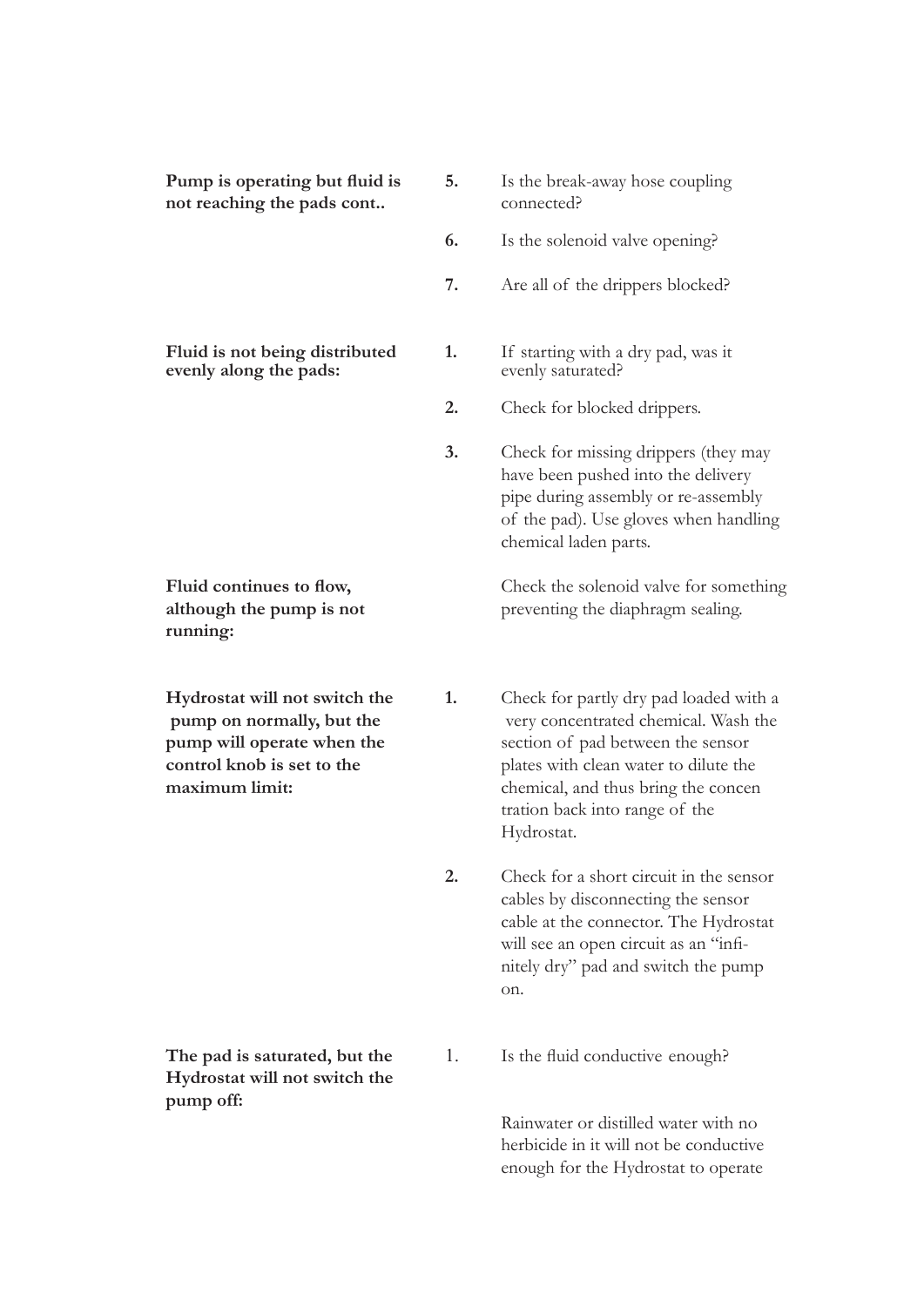| Pump is operating but fluid is<br>not reaching the pads cont                                                                             | 5. | Is the break-away hose coupling<br>connected?                                                                                                                                                                                                       |
|------------------------------------------------------------------------------------------------------------------------------------------|----|-----------------------------------------------------------------------------------------------------------------------------------------------------------------------------------------------------------------------------------------------------|
|                                                                                                                                          | 6. | Is the solenoid valve opening?                                                                                                                                                                                                                      |
|                                                                                                                                          | 7. | Are all of the drippers blocked?                                                                                                                                                                                                                    |
| Fluid is not being distributed<br>evenly along the pads:                                                                                 | 1. | If starting with a dry pad, was it<br>evenly saturated?                                                                                                                                                                                             |
|                                                                                                                                          | 2. | Check for blocked drippers.                                                                                                                                                                                                                         |
|                                                                                                                                          | 3. | Check for missing drippers (they may<br>have been pushed into the delivery<br>pipe during assembly or re-assembly<br>of the pad). Use gloves when handling<br>chemical laden parts.                                                                 |
| Fluid continues to flow,<br>although the pump is not<br>running:                                                                         |    | Check the solenoid valve for something<br>preventing the diaphragm sealing.                                                                                                                                                                         |
| Hydrostat will not switch the<br>pump on normally, but the<br>pump will operate when the<br>control knob is set to the<br>maximum limit: | 1. | Check for partly dry pad loaded with a<br>very concentrated chemical. Wash the<br>section of pad between the sensor<br>plates with clean water to dilute the<br>chemical, and thus bring the concen<br>tration back into range of the<br>Hydrostat. |
|                                                                                                                                          | 2. | Check for a short circuit in the sensor<br>cables by disconnecting the sensor<br>cable at the connector. The Hydrostat                                                                                                                              |

**Hydrostat will not switch the pump off:** 

on.

**The pad is saturated, but the <br>1.** Is the fluid conductive enough?

 Rainwater or distilled water with no herbicide in it will not be conductive enough for the Hydrostat to operate

 will see an open circuit as an "infi nitely dry" pad and switch the pump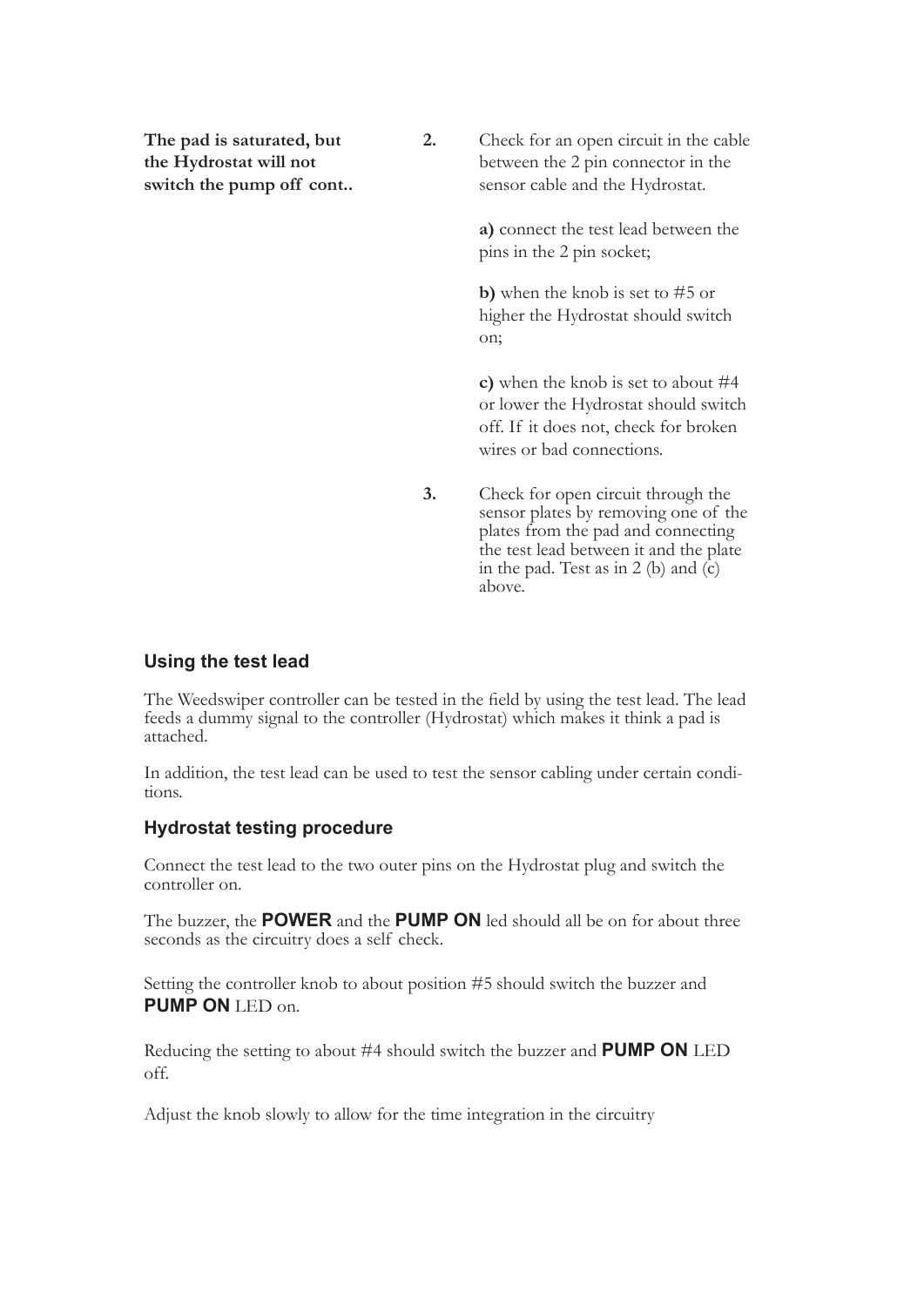**The pad is saturated, but 2.** Check for an open circuit in the cable **the Hydrostat will not** between the 2 pin connector in the **switch the pump off cont..** sensor cable and the Hydrostat.

> **a)** connect the test lead between the pins in the 2 pin socket;

**b)** when the knob is set to #5 or higher the Hydrostat should switch on;

 **c)** when the knob is set to about #4 or lower the Hydrostat should switch off. If it does not, check for broken wires or bad connections.

**3.** Check for open circuit through the sensor plates by removing one of the plates from the pad and connecting the test lead between it and the plate in the pad. Test as in 2 (b) and (c) above.

#### **Using the test lead**

The Weedswiper controller can be tested in the field by using the test lead. The lead feeds a dummy signal to the controller (Hydrostat) which makes it think a pad is attached.

In addition, the test lead can be used to test the sensor cabling under certain condi- tions.

#### **Hydrostat testing procedure**

Connect the test lead to the two outer pins on the Hydrostat plug and switch the controller on.

The buzzer, the **POWER** and the **PUMP ON** led should all be on for about three seconds as the circuitry does a self check.

Setting the controller knob to about position #5 should switch the buzzer and **PUMP ON** LED on.

Reducing the setting to about #4 should switch the buzzer and **PUMP ON** LED off.

Adjust the knob slowly to allow for the time integration in the circuitry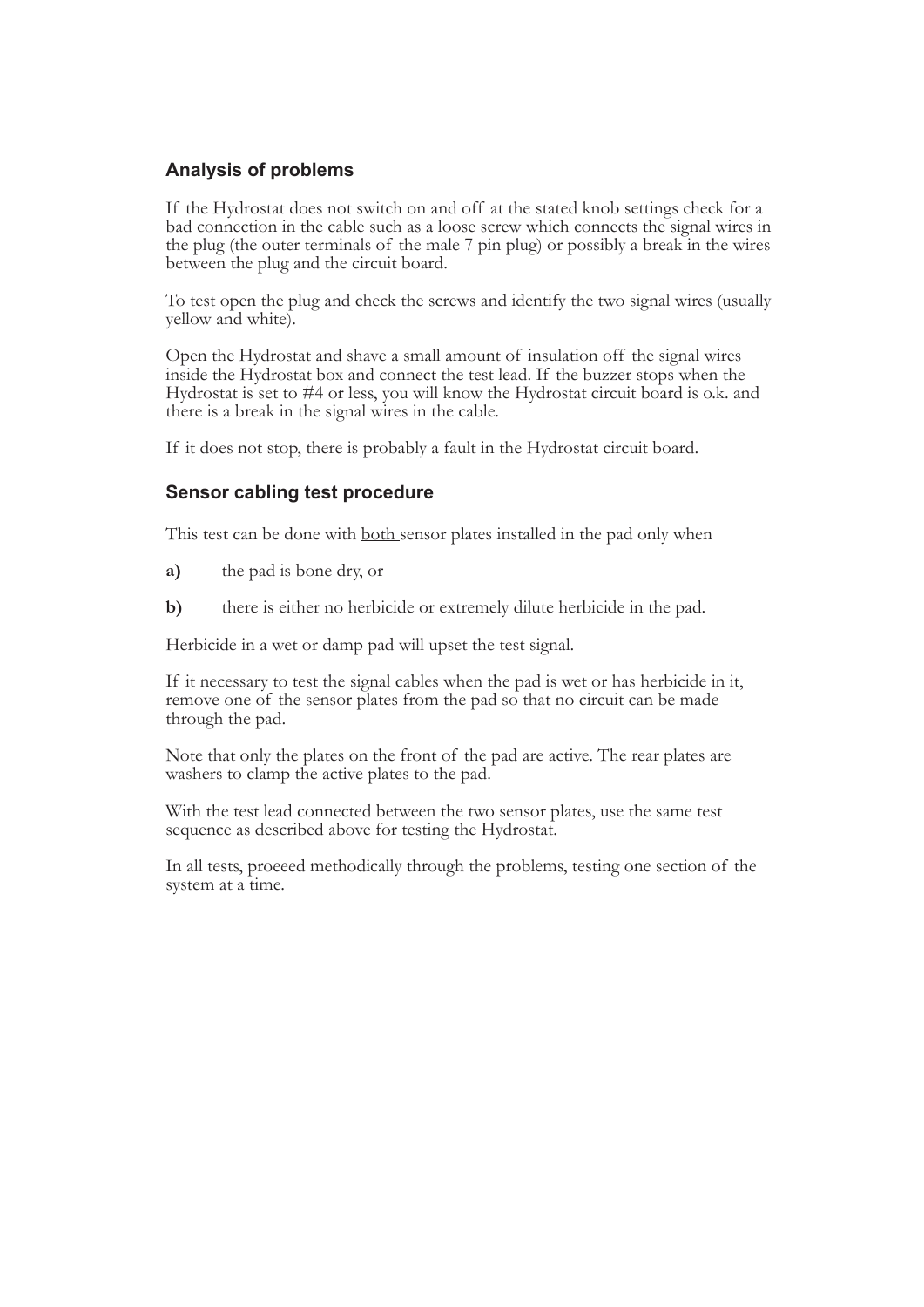#### **Analysis of problems**

If the Hydrostat does not switch on and off at the stated knob settings check for a bad connection in the cable such as a loose screw which connects the signal wires in the plug (the outer terminals of the male 7 pin plug)

To test open the plug and check the screws and identify the two signal wires (usually yellow and white).

Open the Hydrostat and shave a small amount of insulation off the signal wires<br>inside the Hydrostat box and connect the test lead. If the buzzer stops when the<br>Hydrostat is set to #4 or less, you will know the Hydrostat ci

If it does not stop, there is probably a fault in the Hydrostat circuit board.

#### **Sensor cabling test procedure**

This test can be done with <u>both sensor</u> plates installed in the pad only when

- **a)** the pad is bone dry, or
- **b)** there is either no herbicide or extremely dilute herbicide in the pad.

Herbicide in a wet or damp pad will upset the test signal.

If it necessary to test the signal cables when the pad is wet or has herbicide in it, remove one of the sensor plates from the pad so that no circuit can be made through the pad.

Note that only the plates on the front of the pad are active. The rear plates are washers to clamp the active plates to the pad.

With the test lead connected between the two sensor plates, use the same test sequence as described above for testing the Hydrostat.

In all tests, proeeed methodically through the problems, testing one section of the system at a time.